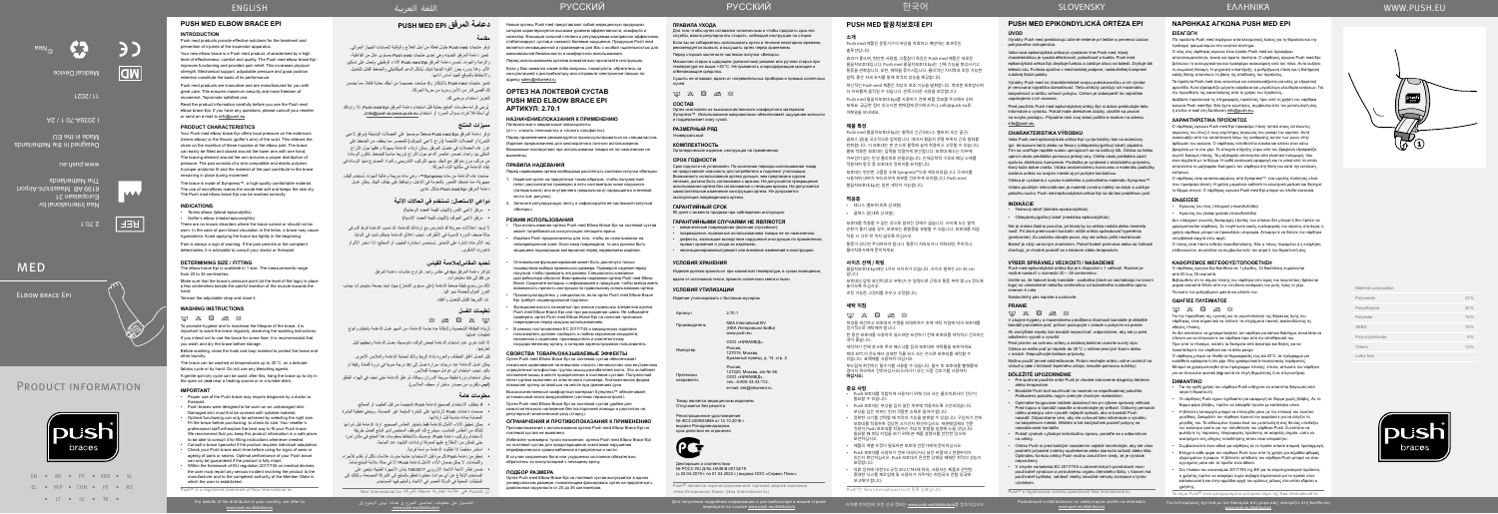Για λεπτομέρειες σχετικά με τον διανομέα στη χώρα σας, ανατρέξτε στη διεύθυνση oν σιανόμεα στη χωρά σα<br>www.push.eu/distributors

Изделие утилизировать с бытовым мусором. Артикул

> ва, а/я № 58, e-mail: skk@nikamed.ru.

EN • AR • PY • KRN • SL EL • YKP • CHN • FR • RO • LT • LV • TR •

push braces

#### **УСЛОВИЯ ХРАНЕНИЯ**

Регистрационное удостоверение № ФСЗ 2009/04856 от 14.10.2016 г. выдано Росздравнадзором, срок действия не ограничен



Изделие должно храниться при комнатной температуре, в сухом помещении,

вдали от источников тепла, прямого солнечного света и пыли.

## **УСЛОВИЯ УТИЛИЗАЦИИ**

| Артикул       | 2.70.1                                                          |
|---------------|-----------------------------------------------------------------|
| Производитель | <b>NFA International BV</b><br>(НЕА Интернешнл Б<br>www.push.eu |
| Импортер      | ООО «НИКАМЕД».<br>Россия.<br>127015, Москва,                    |

Претензии направлять

| Россия.                |
|------------------------|
| 127220. Москва, а/я М  |
| ООО «НИКАМЕД»,         |
| тел.: 8-800-33-33-112. |

Товар является медицинским изделием Отпускается без рецепта

- $\boxtimes$   $\boxtimes$   $\boxtimes$   $\boxtimes$   $\boxtimes$
- لزيادة النظافة الشخصية وإلطالة مدة خدمة الدعامة، من المهم غسل الدعامة بانتظام واتباع تعليمات غسلها.
- إذا كنت تنوي عدم استخدام الدعامة لبعض الوقت، فنوصيك بغسل الدعامة وتجفيفها قبل تخزينها.
- قبل الغسل أغلق الخطاف والعروة بأداة الربط وذلك لحماية الدعامة والمالبس األخرى.
- يمكن غسل الدعامة عند درجات حرارة تصل إلى 30 درجة مئوية في دورة أقمشة رقيقة أو باليد. تجنب استخدام أي عوامل مبيضة للمالبس.
- يمكن استخدام دورة لطيفة سريعة الدوران وجافة، ثم علق الدعامة حتى تجف في الهواء الطلق )**ليس** بالقرب من مصدر ساخن أو مجفف المالبس(.

Декларация о соответствии No POCC RU JUNI HA38 B 00132/19 (с 02.04.2019 г. по 01.04.2022 г.) выдана ООО «Сервис Плюс»

Push® является зарегистрированной торговой маркой компании «Неа Интернешнл биви» (Nea International bv)

#### **تحديد المقاس/مالءمة القياس**

تتوافر دعامة المرفق Epi في مقاس واحد. تتراوح مقاسات دعامة المرفق من 20 إلى 35 سنتيمترات. تأكد من وضع نقطة ضغط الدعامة (على مستوى الشعار) حيث تبعد بضعة سنتيمترات بجانب الغرز المؤلم للعضلة نحو اليد. شد الشريط القابل للتعديل وأغلقه.

ف إن RPush هي عالمة تجارية مسجلة لشركة bv International Nea

للحصول على معلومات لتفاصيل الموزع في بلدك؛ يُرجى الرجوع إلى<br>www.push.eu/distributors

## **تعليمات الغسل**

#### **معلومات هامة**

- قد يتطلب الاستخدام الصحيح لدعامة Push تشخيصاً من قبل الطبيب أو المعالج. صممت دعامات Push الرتدائها على البشرة السليمة غير المصابة. وينبغي تغطية البشرة
- المصابة بمادة مناسبة قبل ارتدائها. • يمكن تحقيق الأداء الأمثل للدعامة فقط باختيار المقاس الصحيح. ارتد الدعامة قبل شرائها لتتأكد من المقاس المناسب. سيشرح لك الموظف المختص لدى البائع أفضل طريقة الستخدام وتركيب دعامة Push. نوصيك باالحتفاظ بمعلومات هذا المنتج في مكان آمن؛
	- حتى تتمكن من االطالع عليها لمعرفة إرشادات التثبيت عند الحاجة. ً استشر مختصا إذا تطلبت الدعامة مواءمة فردية.
- تحقق من دعامة Push كل مرة قبل االستخدام؛ خشية حدوث عالمات تآكل أو تقادم لألجزاء واللحامات. لا يمكن ضمان الأداء الأمثل لدعامة Push؛ إلا في حالة سلامة المنتج تماماً.
- $\boxtimes$   $\boxtimes$   $\boxtimes$   $\boxtimes$
- To promote hygiene and to maximise the lifespan of the brace, it is important to wash the brace regularly, observing the washing instructions.

 ضمن إطار الئحة االتحاد األوروبي 745/2017 بشأن األجهزة الطبية؛ يتعين على المستخدم اإلبالغ عن أي حوادث خطيرة تتعلق بالمنتج إلى الشركة المصنعة، وكذلك إلى السلطات المعنية في الدولة العضو في االتحاد والمقيم فيها المستخدم.

Elbow brace Epi

# **PUSH MED ELBOW BRACE EPI**

#### **INTRODUCTION**

Push med products provide effective solutions for the treatment and prevention of injuries of the locomotor apparatus.

Your new elbow brace is a Push med product, characterised by a high level of effectiveness, comfort and quality. The Push med elbow brace Epi improves functioning and provides pain relief. This increases physical strength. Mechanical support, adjustable pressure and good position retention constitute the basis of its performance.

Push med products are innovative and are manufactured for you with great care. This ensures maximum security and more freedom of movement. Topromote satisfied use.

تتميز منتجات Push med بالابتكار وقد صُنعت خصيصاً من أجلك بعناية فائقة. مما يضمن لك أقصى قدر من األمن ومزيد من حرية الحركة.

ُ يرجى قراءة معلومات المنتج بعناية قبل استخدام دعامة المرفق Epi med Push. إذا راودتك أي أسئلة فلا تتردد بسؤال المورد أو استخدام info@push.eu)www.push.eu).

Read the product information carefully before you use the Push med elbow brace Epi. If you have any questions, please consult your reseller or send an e-mail to info@push.eu.

## **PRODUCT CHARACTERISTICS**

توفر دعامة المرفق Push med Epi ضغطا موضعياً على العضلات الباسطة (مرفق لاعبي التنس) أو العضلات القابضة (ذراع لاعبي الجولف) للمعصم. مما يخفف من الضغط على غرز هذه العضالت في مفصل المرفق. يمكن ارتداء الدعامة بسهولة وغلقها حول الذراع السفلي بيد واحدة. تضمن عناصر الدعم حول الذراع توزيعا مناسبا للضغط. تتكون الوسادة من مركب مرن متوافق مع الجلد. يسهم التركيب التشريحي والمواد المصنوع منها الوسادة في إبقاء الدعامة في مكانها أثناء الحركة.

صنّعت هذه الدعامة من مادة Sympress™، وهي مادة مريحة و عالية الجودة. تُستَخدم ألياف مجهرية؛ مما تمنحك الشعور بالنعومة في الداخل، وتحافظ على جفاف الجلد. يمكن غسل دعامة المرفق Epi med Push بشكل عادي.

Your Push med elbow brace Epi offers local pressure on the extensors (tennis elbow) or the flexors (golfer's arm) of the wrist. This relieves the strain on the insertion of these muscles at the elbow joint. The brace can easily be fitted and closed around the lower arm with one hand The bracing element around the arm ensures a proper distribution of pressure. The pad consists of a skin-compatible and elastic polymer. A proper anatomic fit and the material of the pad contribute to the brace remaining in place during movement.

The brace is made of Sympress™, a high-quality comfortable material. The use of microfibres makes the inside feel soft and keeps the skin dry. The Push med elbow brace Epi can be washed normally.

#### **INDICATIONS**

- Tennis elbow (lateral epicondylitis)
- Golfer's elbow (medial epicondylitis)

There are no known disorders where the brace cannot or should not be worn. In the case of poor blood circulation in the limbs, a brace may cause hyperaemia. Avoid applying the brace too tightly in the beginning. Pain is always a sign of warning. If the pain persists or the complaint deteriorates, it is advisable to consult your doctor or therapist.

#### **DETERMINING SIZE / FITTING**

The elbow brace Epi is available in 1 size. The measurements range from 20 to 35 centimetres.

Make sure that the brace's pressure point (at the level of the logo) is place a few centimetres beside the painful insertion of the muscle towards the hand.

# Tension the adjustable strap and close it.

# **WASHING INSTRUCTIONS**

If you intend not to use the brace for some time, it is recommended that you wash and dry the brace before storage. Before washing, close the hook and loop material to protect the brace and

other laundry. The brace can be washed at temperatures up to 30°C, on a delicate

fabrics cycle or by hand. Do not use any bleaching agents. A gentle spin-dry cycle can be used: after this, hang the brace up to dry in

the open air (**not** near a heating source or in a tumble drier).

#### **IMPORTANT**

PRODUCT INFORMATION

- Proper use of the Push brace may require diagnosis by a doctor or therapist.
- Push braces were designed to be worn on an undamaged skin. Damaged skin must first be covered with suitable material. • Optimal functioning can only be achieved by selecting the right size.
- Fit the brace before purchasing, to check its size. Your reseller's professional staff will explain the best way to fit your Push brace. .<br>We recommend that you keep this product information in a safe place, to be able to consult it for fitting instructions whenever needed.
- Consult a brace specialist if the product requires individual adaptation. • Check your Push brace each time before using for signs of wear or ageing of parts or seams. Optimal performance of your Push brace can only be guaranteed if the product is fully intact.
- Within the framework of EU regulation 2017/745 on medical devices the user must report any serious incident involving the product to the manufacturer and to the competent authority of the Member State in which the user is established.

Push® is a registered trademark of Nea International bv

For details of the distributor in your country, we refer to<br>www.push.eu/distributors

# **PUSH MED EPI المرفق دعامة**

# **مقدمة**

توفر منتجات med Push حلول فعالة من أجل العالج والوقاية إلصابات الجهاز الحركي. تتميز دعامة المرفق الجديدة وهي إحدى منتجات med Push ِ بمستوى عال من الفاعلية، والراحة والجودة. تُحسن دعامة المرفق Push med Epi الأداء الوظيفي وتعمل على تسكين ُ األلم. وهذا بدوره يعزز القوة البدنية لديك. يشكل الدعم الميكانيكي والضغط القابل للتعديل واالحتفاظ بالموقع الجيد أساس أدائها.

لتعزيز استخدام مرضي لك.

#### $m \times R \approx R$ 위생을 개선하고 보호대의 수명을 최대화하기 위해 세탁 지침에 따라 보호대를 정기적으로 세탁해야 합니다. 한 동안 보호대를 사용하지 않으려면 보관하기 전에 보호대를 세척하고 건조하는 것이 좋습니다.

#### **مميزات المنتج**

charakteristikou je vysoká efektívnosť, pohodlnosť a kvalita. Push med epikondylická ortéza Epi zlepšuje funkciu a zaisťuje úľavu od bolesti. Zvyšuje tak telesnú silu. Funkcia spočíva v mechanickej podpore, nastaviteľnej kompresii a dobrej fixácii polohy.

#### **دواعي االستعمال: تستخدم في الحاالت اآلتية**

- مرفق العبي التنس )التهاب لقيمة العضد الوحشية(
- مرفق العبي الجولف )التهاب لقيمة العضد اإلنسية(

ال توجد اعتالالت معروفة قد تتعارض مع ارتدائك للدعامة. قد تسبب الدعامة فرط الدم في حالة ضعف الدورة الدموية في األطراف. تجنب إغالق الدعامة بإحكام شديد في البداية. يُعد الألم عادة إشارة على التحذير . يُستحسن استشارة الطبيب أو المعالج؛ إذا استمر الألم أو تدهورت الشكوى.

Новые ортезы Push med представляют собой медицинскую продукцию, которая характеризуется высоким уровнем эффективности, комфорта и качества. Фиксация сильной степени и регулируемая компрессия эффективно стабилизируют сустав и снижают болевые ощущения. Продукция Push med является инновационной и произведена для Вас с особой тщательностью для

максимальной безопасности и комфортного использования. Перед использованием ортезов внимательно прочитайте инструкцию. Если у Вас имеются какие-либо вопросы, пожалуйста, обратитесь за консультацией к дистрибьютору или отправьте электронное письмо по

адресу sales@nikamed.ru

 $\label{eq:3.1} \boxtimes \; \boxtimes \; \boxtimes \; \boxtimes \; \boxtimes \; \boxtimes$ V záujme hygieny a maximálneho predĺženia životnosti bandáže je dôležité bandáž pravidelne prať, pričom postupujte v súlade s pokynmi na pranie.

**ОРТЕЗ НА ЛОКТЕВОЙ СУСТАВ PUSH MED ELBOW BRACE EPI** 

**АРТИКУЛ: 2.70.1**

**НАЗНАЧЕНИЕ/ПОКАЗАНИЯ К ПРИМЕНЕНИЮ** Латеральные и медиальные эпикондилиты (в т.ч. «локоть теннисиста» и «локоть гольфиста»).

Перед применением рекомендуется проконсультироваться со специалистом. Изделие предназначено для многократного личного использования. Возможные последствия при использовании товара не по назначению не

выявлены.

**ПРАВИЛА НАДЕВАНИЯ**

Перед надеванием ортеза необходимо расстегнуть застежки‑липучки «Велкро». 1. Наденьте ортез на предплечье таким образом, чтобы полужесткий пелот располагался примерно в пяти сантиметрах ниже наружного (латерального) или внутреннего (медиального) надмыщелка плечевой

кости (см. рисунок).

2. Затяните регулирующую ленту и зафиксируйте ее застежкой‑липучкой

«Велкро».

**РЕЖИМ ИСПОЛЬЗОВАНИЯ**

может потребоваться консультация лечащего врача.

Ο νέος σας νάρθηκας ανκώνα είναι προϊόν Push med και προσφέρε αποτελεσματικότητα, άνεση και άριστη ποιότητα. Ο νάρθηκας αγκώνα Push med Epi βελτιώνει τη λειτουργικότητα και προσφέρει ανακούφιση από τον πόνο. Αυτό αυξάνει τη σωματική δύναμη. Η μηχανική υποστήριξη, η ρυθμιζόμενη πίεση και η διατήρηση καλής θέσης αποτελούν τη βάση της απόδοσης του προϊόντος.

неповрежденной коже. Если кожа повреждена, то она должна быть защищена подходящим материалом перед надеванием изделия. • Оптимальное функционирование может быть достигнуто только

посредством выбора правильного размера. Примерьте изделие перед покупкой, чтобы проверить его размер. Специалисты компаниидистрибьютора объяснят Вам правила надевания ортеза Push med Elbow Brace. Сохраните вкладыш с информацией о продукции, чтобы всегда иметь возможность прочесть инструкции по правильному использованию ортеза.

• Проконсультируйтесь у специалиста, если ортез Push med Elbow Brace Epi требует индивидуальной подгонки.

- Функциональность снижается при износе отдельных элементов ортеза Push med Elbow Brace Epi или при расхождении швов. Не забывайте проверять ортез Push med Elbow Brace Epi на наличие признаков повреждения перед каждым использованием.
- В рамках постановления ЕС 2017/745 о медицинских изделиях пользователь должен сообщать о любом серьезном инциденте, связанном с изделием, производителю и компетентному государственному органу, в котором зарегистрирован пользователь.

 $M \times B \geqslant N$ Για την προώθηση της υγιεινής και τη μεγιστοποίηση της διάρκειας ζωής του

**СВОЙСТВА ТОВАРА/ОКАЗЫВАЕМЫЕ ЭФФЕКТЫ** Ортез Push med Elbow Brace Epi на локтевой сустав обеспечивает локальное сдавливание на внешнюю «локоть теннисистов» или внутреннюю «предплечье гольфистов» группы мышц-разгибателей кисти. Это ослабляет натяжение мышц в месте прикрепления в локтевом суставе. Полужесткий пелот ортеза выполнен из эластичного полимера. Анатомическая форма позволяет ортезу оставаться на месте при движениях руки. Высококачественный комфортный материал Sympress™ обеспечивает оптимальный влаго-воздухообмен (система термоконтроля). Ортез Push med Elbow Brace Epi на локтевой сустав удобен для самостоятельного наложения без посторонней помощи и рассчитан на

регулярный гигиенический уход (стирку).

**ОГРАНИЧЕНИЯ И ПРОТИВОПОКАЗАНИЯ К ПРИМЕНЕНИЮ** Противопоказаний к использованию ортеза Push med Elbow Brace Epi на

локтевой сустав не выявлено.

- При использовании ортеза Push med Elbow Brace Epi на локтевой сустав • Изделия Push предназначены для того, чтобы их использовали на • механические повреждения (включая случайные); • повреждения, вызванные использованием товара не по назначению;
	- правил хранения и ухода за изделием;
	- несанкционированный ремонт или внесение изменений в конструкцию.

Избегайте чрезмерно тугого наложения ортеза Push med Elbow Brace Epi на локтевой сустав для предотвращения симптомов нарушения периферического кровоснабжения в предплечье и кисти. В случае сохранения боли или ухудшения состояния обязательно

обратитесь за консультацией к лечащему врачу.

**ПОДБОР РАЗМЕРА**

Material composition Polyamide Polyethylene

Polyvinylchloride

Ортез Push med Elbow Brace Epi на локтевой сустав выпускается в одном универсальном размере, позволяющем фиксировать ортез на предплечье с

диапазоном окружности от 20 до 35 сантиметров.

### **ПРАВИЛА УХОДА**

Для того чтобы ортез оставался гигиеничным и чтобы продлить срок его службы, важно регулярно его стирать, соблюдая инструкции по стирке. Если вы не собираетесь использовать ортез в течение некоторого времени, рекомендуется вымыть и высушить ортез перед хранением.

Перед стиркой застегните застежки-липучки «Велкро». Машинная стирка в щадящем (деликатном) режиме или ручная стирка при температуре не выше +30°C. Не применять хлорсодержащие моющие и отбеливающие средства.

Сушить не отжимая, вдали от нагревательных приборов и прямых солнечных лучей.

# $\label{eq:3.1} \boxtimes \; \boxtimes \; \boxtimes \; \boxtimes \; \boxtimes \; \boxtimes$

#### **СОСТАВ**

Ортез изготовлен из высококачественного комфортного материала Sympress™. Использование микроволокон обеспечивает ощущение мягкости и поддерживает кожу сухой.

**РАЗМЕРНЫЙ РЯД** Универсальный

# **КОМПЛЕКТНОСТЬ**

Ортопедическое изделие, инструкция по применению.

**СРОК ГОДНОСТИ** Срок годности не установлен. По окончании периода использования товар не представляет опасности для потребителя и подлежит утилизации. Возможность использования ортеза дольше, чем предписано курсом лечения, должна быть согласована с врачом. Не допускается прекращение использования ортеза без согласования с лечащим врачом. Не допускается самостоятельное изменение конструкции ортеза. Не допускается эксплуатация поврежденного ортеза.

#### **ГАРАНТИЙНЫЙ СРОК** 90 дней с момента продажи при соблюдении инструкции.

#### **ГАРАНТИЙНЫМИ СЛУЧАЯМИ НЕ ЯВЛЯЮТСЯ**

# • дефекты, возникшие вследствие нарушения инструкции по применению,

ешнл БиВи<sup>)</sup>

127015, Москва,<br>Бумажный проезд, д. 14, стр. 2.

## **PUSH MED 팔꿈치보호대 EPI**

# **소개** Push med 제품은 운동기구의 부상을 치료하고 예방하는 효과적인 솔루션입니다.

효과가 좋으며, 편안한 사용법, 고품질이 특징인 Push med 제품은 새로운 팔꿈치보호대입니다. Push med 팔꿈치보호대 Epi는 신체 기능을 향상시키고 통증을 완화합니다. 또한, 체력을 증가시킵니다. 물리적인 지지력과 조정 가능한

압력, 좋은 자세 유지를 통해 최적의 성능을 제공합니다.

혁신적인 Push med 제품은 최상의 보조 기능을 발휘합니다. 최대한 보호받으며 더 자유롭게 움직일 수 있습니다. 만족스러운 사용을 보장합니다. Push med 팔꿈치보호대 Epi를 사용하기 전에 제품 정보를 주의해서 읽어 보세요. 궁금한 점이 있으시면 판매점에 문의하시거나, info@push.eu로

이메일을 보내세요. **제품 특성**

Push med 팔꿈치보호대 Epi는 팔뚝의 신근(테니스 엘보우) 또는 굴근( 골퍼스 암)을 국소적으로 압박합니다. 따라서 팔꿈치 관절 부위의 근육 염좌를 완화합니다. 이 보호대는 한 손으로 팔뚝에 쉽게 착용하고 고정할 수 있습니다. 팔에 착용한 보호대는 압력을 적절하게 분산합니다. 보호대 패드는 피부에 거부감이 없는 탄성 폴리머로 만들었습니다. 인체공학적 구조와 패딩 소재를

적용하여 동작 중 보호대가 정위치를 유지합니다.

보호대는 편안한 고품질 소재 Sympress™으로 제조되었습니다. 극세사를 사용하여 내부가 부드러우며 피부를 건조하게 유지합니다. Push med

팔꿈치보호대 Epi는 일반 세탁이 가능합니다.

#### **적응증**

• 테니스 엘보우(외측 상과염)

• 골퍼스 암(내측 상과염)

보호대를 착용할 수 없는 것으로 알려진 장애가 없습니다. 사지에 도는 혈액 순환이 좋지 않을 경우, 보호대는 충혈증을 유발할 수 있습니다. 보호대를 처음 착용 시 너무 꽉 끼지 않도록 하십시오.

통증이 있다면 주의하셔야 합니다. 통증이 지속되거나 악화되면, 주치의나 물리치료사에게 문의하세요.

#### **사이즈 선택 / 피팅**

팔꿈치보호대 Epi에는 1가지 사이즈가 있습니다. 사이즈 범위는 20~35 cm 입니다. 보호대의 압박 포인트(로고 부위)가 손 방향으로 근육의 통증 부위 몇 cm 정도에 놓이도록 하십시오. 조정 가능한 고정띠를 조우고 고정합니다.

# **세탁 지침**

세탁하기 전에 후크와 루프 패스너를 잠궈 보호대와 세탁물을 보호하세요. 최대 30°C의 온도에서 섬세한 직물 모드 또는 손으로 보호대를 세탁할 수

있습니다. 표백제를 사용하지 마십시오. 부드럽게 회전하는 탈수기를 사용할 수 있습니다. 탈수 후 보호대를 빨랫줄에 걸어서 옥외에서 건조하십시오(드라이기 또는 드럼 건조기를 사용하지

## **마십시오**).

#### **중요 사항**

- Push 보호대를 적합하게 사용하기 위해 의사 또는 물리치료사의 진단이 필요할 수 있습니다.
- Push 보호대는 부상을 입지 않은 피부에 착용하도록 고안되었습니다. 부상을 입은 피부는 먼저 적절한 소재로 덮어야 합니다.
- 정확한 크기를 선택할 때 최적의 기능을 발휘할 수 있습니다. 구입하기 전에 보호대를 착용하여 정당한 크기인지 확인하십시오. 재판매업체의 전문 직원이 Push 보호대를 착용하는 최상의 방법을 설명해 드릴 것입니다. 필요할 때 피팅 지침을 보기 위해 본 제품 설명서를 안전한 장소에 보관하십시오.
- 제품의 개별 조정이 필요하면 보호대 전문가에게 문의하십시오.

- Push 보호대를 사용하기 전에 마모되거나 낡은 부품이나 연결부위가 있는지 확인하십시오. Push 보호대가 온전한 상태일 때에만 최적의 성능이 보장됩니다.
- 의료 장치에 대한 EU 규정 2017/745에 따라, 사용자는 제품과 관련된 중대한 사고를 제조업체 및 사용자가 거주하는 회원국의 관할 당국에 보고해야 합니다.

Push®는 Nea International bv의 등록 상표입니다.

#### **PUSH MED EPIKONDYLICKÁ ORTÉZA EPI ÚVOD** Výrobky Push med predstavujú účinné riešenie pri liečbe a prevencii úrazov

## pohybového ústrojenstva. Vaša nová epikondylická ortéza je výrobkom línie Push med, ktorej

Výrobky Push med sú charakteristické svojou pokrokovosťou a ich výrobe je venovaná najväčšia starostlivosť. Tieto atribúty zaisťujú ich maximálnu bezpečnosť a väčšiu voľnosť pohybu. Cieľom je zabezpečiť čo najväčšie uspokojenie z ich nosenia.

Pred použitím Push med epikondylickej ortézy Epi si dobre preštudujte tieto informácie o výrobku. Pokiaľ máte akékoľvek otázky, obráťte sa prosím na svojho predajcu. Prípadne nám svoj dotaz pošlite e-mailom na adresu info@push.eu.

#### **CHARAKTERISTIKA VÝROBKU**

Vaša Push med epikondylická ortéza Epi vyvíja lokálny tlak na extenzory (pri tenisovom lakti) alebo na flexory (oštepársky/golfový lakeť) zápästia. Tím sa uvoľňuje napätie svalov upínajúcich sa na lakťový kĺb. Ortéza sa ľahko upevní okolo predlaktia pomocou jednej ruky. Ortéta okolo predlaktia zaistí správnu distribúciu kompresie. Podložka je vyrobená z elastického polyméru, ktorý koža dobre znáša. Vďaka anatomickému tvarovaniu a materiálu podložky zostáva ortéza na svojom mieste aj pri pohybe končatinou.

Ortéza je vyrobená z vysoko kvalitného a pohodlného materiálu Sympress™. Vďaka použitým mikrovláknam je materiál zvnútra mäkký na dotyk a udržuje

pokožku suchú. Push med epikondylická ortéza Epi sa dá bez problémov prať.

#### **INDIKÁCIE**

• Tenisový lakeť (laterála epokondylitída)

• Oštepársky/golfový lakeť (mediálna epikondylitída)

Nie je známa žiadna porucha, pri ktorej by sa ortéza nedala alebo nesmela nosiť. Pri zlom prekrvovaní končatín môže ortéza spôsobovať hyperémiu (prekrvenie). Zo začiatku dávajte pozor, aby ste ortézu príliš neuťahovali.

Bolesť je vždy varovným znamením. Pokiaľ bolesť pretrváva alebo sa ťažkosti zhoršujú, je vhodné poradiť sa s lekárom alebo terapeutom.

#### **VÝBER SPRÁVNEJ VEĽKOSTI / NASADENIE**

Push med epikondylická ortéza Epi je k dispozícii v 1 veľkosti. Rozmer je možné nastaviť v rozmedzí 20 – 35 centimetrov.

Uistite sa, že tlakové body bandáže - podložka (ktoré sa nachádzajú na úrovní loga) sú umiestnené niekoľko centimetrov od bolestivého svalového úponu smerom k ruke.

Nastaviteľný pás napnite a uzatvorte.

# **PRANIE**

Ak zamýšľate nejaký čas bandáž nepoužívať, odporúčame, aby ste ju pred odložením vyprali a vysušili. Pred praním na ochranu ortézy a ostatnej bielizne uzavrite suchý zips.

Ortéza sa môže prať pri teplote do 30°C v režime jemných tkanín alebo v rukách. Nepoužívajte bieliace prípravky. Možno použiť jemné odstreďovanie. Potom nechajte ortézu voľne uschnúť na

vzduchu (**nie** v blízkosti tepelného zdroja; nesušte pomocou sušičky).

- **DÔLEŽITÉ UPOZORNENIE** • Pre správne použitie ortéz Push je vhodné stanovenie diagnózy lekárom alebo terapeutom.
- Bandáže Push boli navrhnuté na nosenie na nepoškodenej pokožke. Poškodenú pokožku najprv prekryte vhodným materiálom.
- Optimálne fungovanie môžete dosiahnuť len pri výbere správnej veľkosti. Pred kúpou si bandáž nasaďte a skontrolujte jej veľkosť. Odborný personál vášho predajcu vám vysvetlí najlepší spôsob, ako si bandáž Push nasadiť. Odporúčame vám, aby ste uchovali tieto informácie o výrobku na bezpečnom mieste. Môžete si tak kedykoľvek pozrieť pokyny na nasadzovanie bandáže.
- Pokiaľ výrobok vyžaduje individuálnu úpravu, poraďte sa s odborníkom na ortézy.
- Ortézu Push si pred každým nasadením najskôr skontrolujte, aby ste včas postrehli prípadné známky opotrebenia alebo starnutia súčastí alebo šitia. Optimálnu funkciu ortézy Push možno zaručiť len vtedy, ak je výrobok neporušený.
- V zmysle nariadenia EÚ 2017/745 o zdravotníckych pomôckach musí používateľ výrobcovi a príslušnému orgánu členského štátu, v ktorom má používateľ bydlisko, nahlásiť všetky závažné nehody súvisiace s týmto výrobkom.

Push® e registrovaná známka spoločnosti Nea International bv

odrobnosti o distribútorovi vo vašej krajine zistíte na stránkách<br>www.push.eu/distributors

## **ΝΑΡΘΗΚΑΣ ΑΓΚΩΝΑ PUSH MED EPI**

#### **ΕΙΣΑΓΩΓΗ**

IΤα προϊόντα Push med παρέχουν αποτελεσματικές λύσεις για τη θεραπεία και την πρόληψη τραυματισμών στο κινητικό σύστημα.

Τα προϊόντα Push med είναι καινοτόμα και κατασκευάζονται για εσάς με εξαιρετική φροντίδα. Αυτό εξασφαλίζει μέγιστη ασφάλεια και μεγαλύτερη ελευθερία κινήσεων. Για την προώθηση της ικανοποίησης από τη χρήση του προϊόντος.

Διαβάστε προσεκτικά τις πληροφορίες προϊόντος πριν από τη χρήση του νάρθηκα αγκώνα Push med Epi. Εάν έχετε ερωτήσεις, συμβουλευτείτε τον μεταπωλητή σας ή στείλτε e-mail στη διεύθυνση info@push.eu.

#### **ΧΑΡΑΚΤΗΡΙΣΤΙΚΑ ΠΡΟΪΟΝΤΟΣ**

Ο νάρθηκας αγκώνα Push med Epi προσφέρει πίεση τοπικά στους εκτείνοντες (αγκώνας του τένις) ή τους καμπτήρες (αγκώνας του γκολφ) του καρπού. Αυτό ανακουφίζει από την καταπόνηση λόγω της κατάφυσης αυτών των μυών στην άρθρωση του αγκώνα. Ο νάρθηκας τοποθετείται εύκολα και κλείνει στον κάτω βραχίονα με το ένα χέρι. Το στοιχείο στήριξης γύρω από τον βραχίονα εξασφαλίζει σωστή διανομή πίεσης. Το μαξιλαράκι αποτελείται από ελαστικό πολυμερές που είναι συμβατό με το δέρμα. Η ορθή ανατομική εφαρμογή και το υλικό από το οποίο αποτελείται το μαξιλαράκι διατηρούν τον νάρθηκα στη θέση του κατά την εκτέλεση κινήσεων.

Ο νάρθηκας είναι κατασκευασμένος από Sympress™, ένα υψηλής ποιότητας υλικό που προσφέρει άνεση. Η χρήση μικροϊνών καθιστά το εσωτερικό μαλακό και διατηρεί το δέρμα στεγνό. Ο νάρθηκας αγκώνα Push med Epi μπορεί να πλυθεί κανονικά.

#### **ΕΝΔΕΙΞΕΙΣ**

- Αγκώνας του τένις (πλευρική επικονδυλίτιδα)
- Αγκώνας του γκολφ (μεσαία επικονδυλίτιδα)

Δεν υπάρχουν γνωστές διαταραχές εξαιτίας των οποίων δεν μπορεί ή δεν πρέπει να χρησιμοποιείται νάρθηκας. Σε περίπτωση κακής κυκλοφορίας του αίματος στα άκρα, η χρήση νάρθηκα μπορεί να προκαλέσει υπεραιμία. Αποφύγετε να δέσετε τον νάρθηκα υπερβολικά σφιχτά στην αρχή.

Ο πόνος είναι πάντα ένδειξη προειδοποίησης. Εάν ο πόνος παραμένει ή η ενόχληση επιδεινώνεται, συνιστάται να συμβουλευτείτε τον ιατρό ή τον θεραπευτή σας.

#### **ΚΑΘΟΡΙΣΜΟΣ ΜΕΓΕΘΟΥΣ/ΤΟΠΟΘΕΤΗΣΗ**

Ο νάρθηκας αγκώνα Epi διατίθεται σε 1 μέγεθος. Οι διαστάσεις κυμαίνονται από 20 έως 35 εκατοστά.

Βεβαιωθείτε ότι το σημείο πίεσης του νάρθηκα (στο ύψος του λογοτύπου) βρίσκεται μερικά εκατοστά δίπλα από την επώδυνη κατάφυση του μυός προς το χέρι. Τεντώστε τον ρυθμιζόμενο ιμάντα και κλείστε τον.

#### **ΟΔΗΓΙΕΣ ΠΛΥΣΙΜΑΤΟΣ**

νάρθηκας, είναι σημαντικό να πλένετε τα στηρίγματα τακτικά, ακολουθώντας τις οδηγίες πλύσης.

Αν δεν σκοπεύετε να χρησιμοποιήσετε τον νάρθηκα για κάποιο διάστημα, συνιστάται να πλύνετε και να στεγνώσετε τον νάρθηκα πριν από την αποθήκευσή του. Πριν από το πλύσιμο, κλείστε τα δεσίματα από άγκιστρα και θηλιές για να προστατέψετε τον νάρθηκα και τα άλλα ρούχα.

Ο νάρθηκας μπορεί να πλυθεί σε θερμοκρασίες έως και 30°C, σε πρόγραμμα για ευαίσθητα υφάσματα ή στο χέρι. Μην χρησιμοποιείτε λευκαντικούς παράγοντες. Μπορεί να χρησιμοποιηθεί ήπιο πρόγραμμα πλύσης: έπειτα, απλώστε τον νάρθηκα για να στεγνώσει φυσικά (**όχι** κοντά σε πηγή θερμότητας ή σε στεγνωτήριο).

#### **ΣΗΜΑΝΤΙΚΟ**

• Για την ορθή χρήση του νάρθηκα Push ενδέχεται να απαιτείται διάγνωση από

ιατρό ή θεραπευτή.

• Οι νάρθηκες Push έχουν σχεδιαστεί για εφαρμογή σε δέρμα χωρίς βλάβες. Αν το δέρμα φέρει βλάβες, πρέπει να καλυφθεί πρώτα με κατάλληλο υλικό. • Η βέλτιστη λειτουργία μπορεί να επιτευχθεί μόνο με την επιλογή του σωστού μεγέθους. Δοκιμάστε τον νάρθηκα προτού τον αγοράσετε για να ελέγξτε το μέγεθός του. Το ειδικευμένο προσωπικό του μεταπωλητή σας θα σας υποδείξει τον καλύτερο τρόπο για την τοποθέτηση του νάρθηκα Push. Συνιστάται να φυλάξετε τις παρούσες πληροφορίες προϊόντος σε ασφαλές σημείο, ώστε να ανατρέχετε στις οδηγίες τοποθέτησης όποτε είναι απαραίτητο.

• Συμβουλευτείτε έναν ειδικό για νάρθηκες αν το προϊόν απαιτεί ατομική προσαρμογή. • Ελέγχετε κάθε φορά τον νάρθηκα Push πριν από τη χρήση για σημάδια φθοράς εξαρτημάτων ή ραφών. Η βέλτιστη απόδοση του νάρθηκα Push μπορεί να είναι

εγγυημένη μόνο εάν το προϊόν είναι άθικτο.

• Στο πλαίσιο του κανονισμού 2017/745 της ΕΕ για τα ιατροτεχνολογικά προϊόντα, ο χρήστης πρέπει να αναφέρει τυχόν σοβαρά περιστατικά για το προϊόν στον κατασκευαστή και στην αρμόδια αρχή του κράτους μέλους στο οποίο εδρεύει ο

χρήστης.

Το σήμα Push® είναι καταχωρισμένο εμπορικό σήμα της Nea International bv

2.70.1

Nea International bv Europalaan 31

**The Netherlands** www.push.eu

6199 AB Maastricht-Airport

Designed in the Netherlands

Made in the EU

I 2039A-70 1 / 2A

Medical Device

**11/2021** 

**OW** 

**REF** 

©Nea

**MED** 

Latex free

Polyester 18% SEBS 18%

Others 23%

اللغة العربية